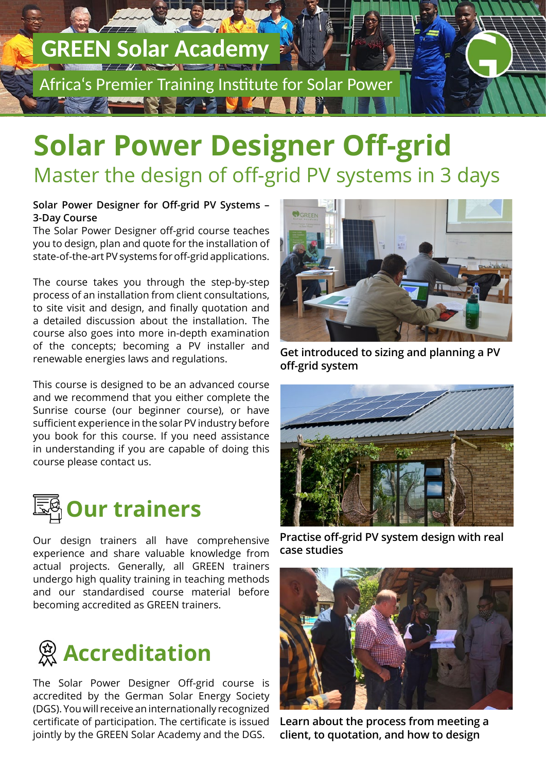# **GREEN Solar Academy**

Africa's Premier Training Institute for Solar Power

### **Solar Power Designer Off-grid** Master the design of off-grid PV systems in 3 days

#### **Solar Power Designer for Off-grid PV Systems – 3-Day Course**

The Solar Power Designer off-grid course teaches you to design, plan and quote for the installation of state-of-the-art PV systems for off-grid applications.

The course takes you through the step-by-step process of an installation from client consultations, to site visit and design, and finally quotation and a detailed discussion about the installation. The course also goes into more in-depth examination of the concepts; becoming a PV installer and renewable energies laws and regulations.

This course is designed to be an advanced course and we recommend that you either complete the Sunrise course (our beginner course), or have sufficient experience in the solar PV industry before you book for this course. If you need assistance in understanding if you are capable of doing this course please contact us.



Our design trainers all have comprehensive experience and share valuable knowledge from actual projects. Generally, all GREEN trainers undergo high quality training in teaching methods and our standardised course material before becoming accredited as GREEN trainers.



The Solar Power Designer Off-grid course is accredited by the German Solar Energy Society (DGS). You will receive an internationally recognized certificate of participation. The certificate is issued jointly by the GREEN Solar Academy and the DGS.



**Get introduced to sizing and planning a PV off-grid system**



**Practise off-grid PV system design with real case studies**



**Learn about the process from meeting a client, to quotation, and how to design**